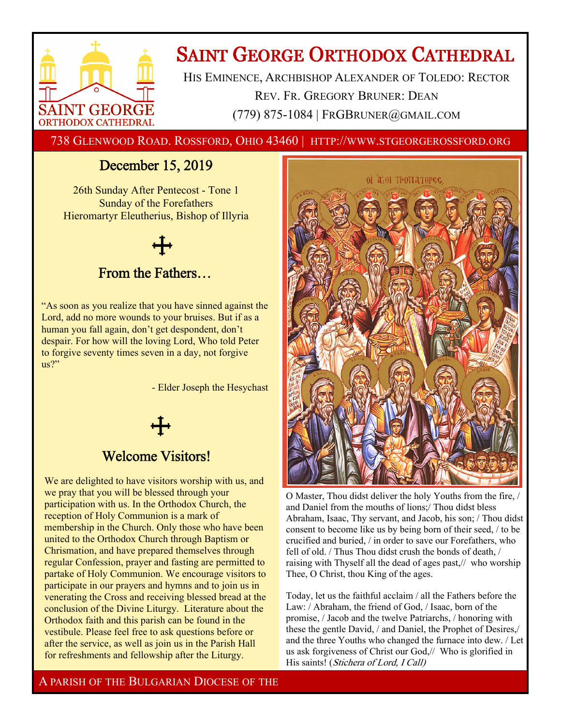

# **SAINT GEORGE ORTHODOX CATHEDRAL**

HIS EMINENCE, ARCHBISHOP ALEXANDER OF TOLEDO: RECTOR REV. FR. GREGORY BRUNER: DEAN (779) 875-1084 | FRGBRUNER@GMAIL.COM

738 GLENWOOD ROAD. ROSSFORD, OHIO 43460 | HTTP://WWW.STGEORGEROSSFORD.ORG

# December 15, 2019

26th Sunday After Pentecost - Tone 1 Sunday of the Forefathers Hieromartyr Eleutherius, Bishop of Illyria

# From the Fathers…

"As soon as you realize that you have sinned against the Lord, add no more wounds to your bruises. But if as a human you fall again, don't get despondent, don't despair. For how will the loving Lord, Who told Peter to forgive seventy times seven in a day, not forgive us?"

- Elder Joseph the Hesychast

# Welcome Visitors!

We are delighted to have visitors worship with us, and we pray that you will be blessed through your participation with us. In the Orthodox Church, the reception of Holy Communion is a mark of membership in the Church. Only those who have been united to the Orthodox Church through Baptism or Chrismation, and have prepared themselves through regular Confession, prayer and fasting are permitted to partake of Holy Communion. We encourage visitors to participate in our prayers and hymns and to join us in venerating the Cross and receiving blessed bread at the conclusion of the Divine Liturgy. Literature about the Orthodox faith and this parish can be found in the vestibule. Please feel free to ask questions before or after the service, as well as join us in the Parish Hall for refreshments and fellowship after the Liturgy.



O Master, Thou didst deliver the holy Youths from the fire, / and Daniel from the mouths of lions;/ Thou didst bless Abraham, Isaac, Thy servant, and Jacob, his son; / Thou didst consent to become like us by being born of their seed, / to be crucified and buried, / in order to save our Forefathers, who fell of old. / Thus Thou didst crush the bonds of death, / raising with Thyself all the dead of ages past,// who worship Thee, O Christ, thou King of the ages.

Today, let us the faithful acclaim / all the Fathers before the Law: / Abraham, the friend of God, / Isaac, born of the promise, / Jacob and the twelve Patriarchs, / honoring with these the gentle David, / and Daniel, the Prophet of Desires,/ and the three Youths who changed the furnace into dew. / Let us ask forgiveness of Christ our God,// Who is glorified in His saints! (Stichera of Lord, I Call)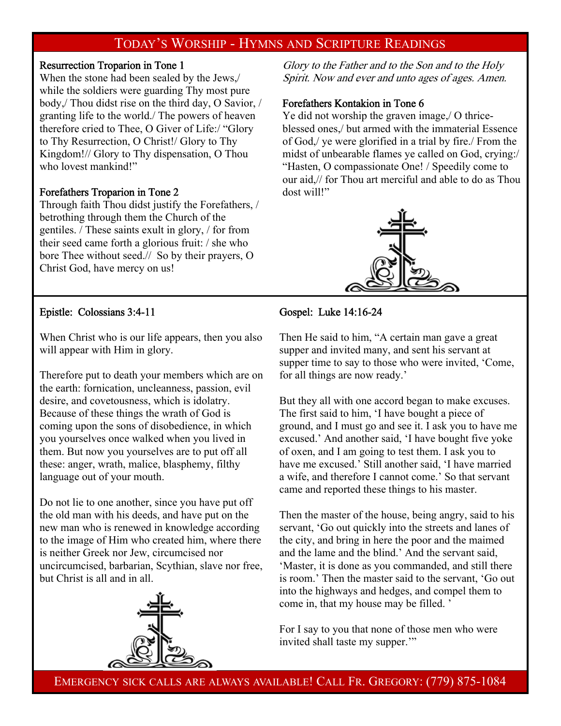# TODAY'S WORSHIP - HYMNS AND SCRIPTURE READINGS

# Resurrection Troparion in Tone 1

When the stone had been sealed by the Jews,/ while the soldiers were guarding Thy most pure body,/ Thou didst rise on the third day, O Savior, / granting life to the world./ The powers of heaven therefore cried to Thee, O Giver of Life:/ "Glory to Thy Resurrection, O Christ!/ Glory to Thy Kingdom!// Glory to Thy dispensation, O Thou who lovest mankind!"

# Forefathers Troparion in Tone 2

Through faith Thou didst justify the Forefathers, / betrothing through them the Church of the gentiles. / These saints exult in glory, / for from their seed came forth a glorious fruit: / she who bore Thee without seed.// So by their prayers, O Christ God, have mercy on us!

Glory to the Father and to the Son and to the Holy Spirit. Now and ever and unto ages of ages. Amen.

# Forefathers Kontakion in Tone 6

Ye did not worship the graven image,/ O thriceblessed ones,/ but armed with the immaterial Essence of God,/ ye were glorified in a trial by fire./ From the midst of unbearable flames ye called on God, crying:/ "Hasten, O compassionate One! / Speedily come to our aid,// for Thou art merciful and able to do as Thou dost will!"



# Epistle: Colossians 3:4-11

# Gospel: Luke 14:16-24

When Christ who is our life appears, then you also will appear with Him in glory.

Therefore put to death your members which are on the earth: fornication, uncleanness, passion, evil desire, and covetousness, which is idolatry. Because of these things the wrath of God is coming upon the sons of disobedience, in which you yourselves once walked when you lived in them. But now you yourselves are to put off all these: anger, wrath, malice, blasphemy, filthy language out of your mouth.

Do not lie to one another, since you have put off the old man with his deeds, and have put on the new man who is renewed in knowledge according to the image of Him who created him, where there is neither Greek nor Jew, circumcised nor uncircumcised, barbarian, Scythian, slave nor free, but Christ is all and in all.



Then He said to him, "A certain man gave a great supper and invited many, and sent his servant at supper time to say to those who were invited, 'Come, for all things are now ready.'

But they all with one accord began to make excuses. The first said to him, 'I have bought a piece of ground, and I must go and see it. I ask you to have me excused.' And another said, 'I have bought five yoke of oxen, and I am going to test them. I ask you to have me excused.' Still another said, 'I have married a wife, and therefore I cannot come.' So that servant came and reported these things to his master.

Then the master of the house, being angry, said to his servant, 'Go out quickly into the streets and lanes of the city, and bring in here the poor and the maimed and the lame and the blind.' And the servant said, 'Master, it is done as you commanded, and still there is room.' Then the master said to the servant, 'Go out into the highways and hedges, and compel them to come in, that my house may be filled. '

For I say to you that none of those men who were invited shall taste my supper."

EMERGENCY SICK CALLS ARE ALWAYS AVAILABLE! CALL FR. GREGORY: (779) 875-1084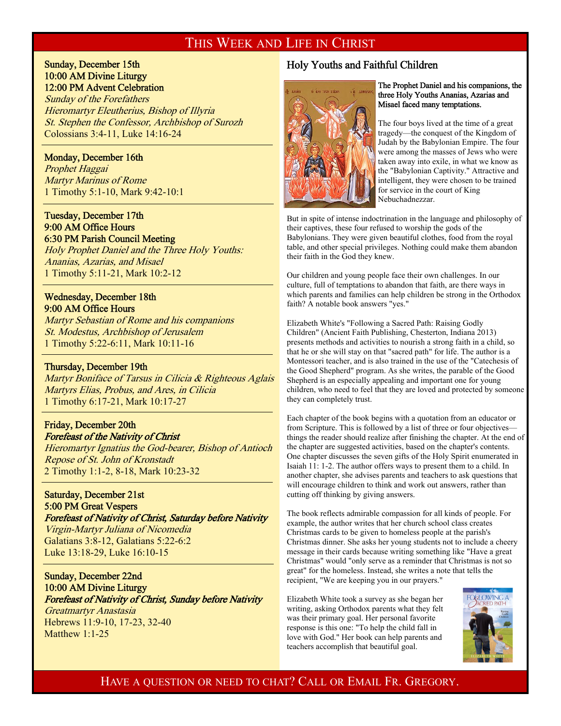# THIS WEEK AND LIFE IN CHRIST

# Sunday, December 15th 10:00 AM Divine Liturgy 12:00 PM Advent Celebration

Sunday of the Forefathers Hieromartyr Eleutherius, Bishop of Illyria St. Stephen the Confessor, Archbishop of Surozh Colossians 3:4-11, Luke 14:16-24

#### Monday, December 16th

 $\overline{a}$ 

 $\overline{a}$ 

 $\overline{a}$ 

 $\overline{a}$ 

Prophet Haggai Martyr Marinus of Rome 1 Timothy 5:1-10, Mark 9:42-10:1

# Tuesday, December 17th 9:00 AM Office Hours 6:30 PM Parish Council Meeting

Holy Prophet Daniel and the Three Holy Youths: Ananias, Azarias, and Misael 1 Timothy 5:11-21, Mark 10:2-12

# Wednesday, December 18th 9:00 AM Office Hours

Martyr Sebastian of Rome and his companions St. Modestus, Archbishop of Jerusalem 1 Timothy 5:22-6:11, Mark 10:11-16

#### Thursday, December 19th

Martyr Boniface of Tarsus in Cilicia & Righteous Aglais Martyrs Elias, Probus, and Ares, in Cilicia 1 Timothy 6:17-21, Mark 10:17-27

# Friday, December 20th

Forefeast of the Nativity of Christ Hieromartyr Ignatius the God-bearer, Bishop of Antioch Repose of St. John of Kronstadt 2 Timothy 1:1-2, 8-18, Mark 10:23-32

# Saturday, December 21st 5:00 PM Great Vespers

Forefeast of Nativity of Christ, Saturday before Nativity

Virgin-Martyr Juliana of Nicomedia Galatians 3:8-12, Galatians 5:22-6:2 Luke 13:18-29, Luke 16:10-15

Sunday, December 22nd 10:00 AM Divine Liturgy Forefeast of Nativity of Christ, Sunday before Nativity Greatmartyr Anastasia Hebrews 11:9-10, 17-23, 32-40 Matthew 1:1-25

# Holy Youths and Faithful Children



#### The Prophet Daniel and his companions, the three Holy Youths Ananias, Azarias and Misael faced many temptations.

The four boys lived at the time of a great tragedy—the conquest of the Kingdom of Judah by the Babylonian Empire. The four were among the masses of Jews who were taken away into exile, in what we know as the "Babylonian Captivity." Attractive and intelligent, they were chosen to be trained for service in the court of King Nebuchadnezzar.

But in spite of intense indoctrination in the language and philosophy of their captives, these four refused to worship the gods of the Babylonians. They were given beautiful clothes, food from the royal table, and other special privileges. Nothing could make them abandon their faith in the God they knew.

Our children and young people face their own challenges. In our culture, full of temptations to abandon that faith, are there ways in which parents and families can help children be strong in the Orthodox faith? A notable book answers "yes."

Elizabeth White's "Following a Sacred Path: Raising Godly Children" (Ancient Faith Publishing, Chesterton, Indiana 2013) presents methods and activities to nourish a strong faith in a child, so that he or she will stay on that "sacred path" for life. The author is a Montessori teacher, and is also trained in the use of the "Catechesis of the Good Shepherd" program. As she writes, the parable of the Good Shepherd is an especially appealing and important one for young children, who need to feel that they are loved and protected by someone they can completely trust.

Each chapter of the book begins with a quotation from an educator or from Scripture. This is followed by a list of three or four objectives things the reader should realize after finishing the chapter. At the end of the chapter are suggested activities, based on the chapter's contents. One chapter discusses the seven gifts of the Holy Spirit enumerated in Isaiah 11: 1-2. The author offers ways to present them to a child. In another chapter, she advises parents and teachers to ask questions that will encourage children to think and work out answers, rather than cutting off thinking by giving answers.

The book reflects admirable compassion for all kinds of people. For example, the author writes that her church school class creates Christmas cards to be given to homeless people at the parish's Christmas dinner. She asks her young students not to include a cheery message in their cards because writing something like "Have a great Christmas" would "only serve as a reminder that Christmas is not so great" for the homeless. Instead, she writes a note that tells the recipient, "We are keeping you in our prayers."

Elizabeth White took a survey as she began her writing, asking Orthodox parents what they felt was their primary goal. Her personal favorite response is this one: "To help the child fall in love with God." Her book can help parents and teachers accomplish that beautiful goal.



# HAVE A QUESTION OR NEED TO CHAT? CALL OR EMAIL FR. GREGORY.